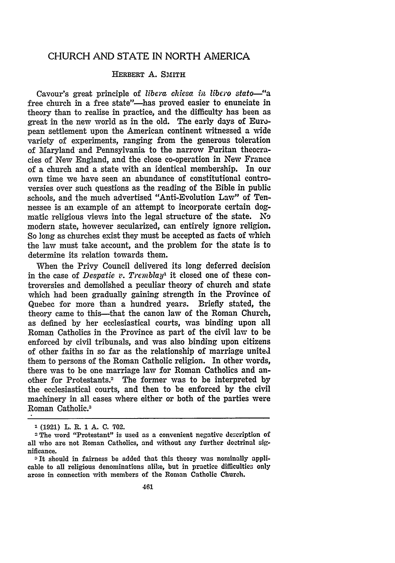## CHURCH AND STATE IN NORTH AMERICA

## HERBERT **A.** SMITH

Cavour's great principle of *libera chiesa in libc'o stato---"a* free church in a free state"—has proved easier to enunciate in theory than to realise in practice, and the difficulty has been as great in the new world as in the old. The early days of European settlement upon the American continent witnessed a wide variety of experiments, ranging from the generous toleration of Maryland and Pennsylvania to the narrow Puritan theocracies of New England, and the close co-operation in New France of a church and a state with an identical membership. In our own time we have seen an abundance of constitutional controversies over such questions as the reading of the Bible in public schools, and the much advertised "Anti-Evolution Law" of Tennessee is an example of an attempt to incorporate certain dogmatic religious views into the legal structure of the state. No modern state, however secularized, can entirely ignore religion. So long as churches exist they must be accepted as facts of which the law must take account, and the problem for the state is to determine its relation towards them.

When the Privy Council delivered its long deferred decision in the case of *Despatie v. Tremblay*<sup>1</sup> it closed one of these controversies and demolished a peculiar theory of church and state which had been gradually gaining strength in the Province of Quebec for more than a hundred years. Briefly stated, the theory came to this-that the canon law of the Roman Church, as defined by her ecclesiastical courts, was binding upon all Roman Catholics in the Province as part of the civil law to be enforced by civil tribunals, and was also binding upon citizens of other faiths in so far as the relationship of marriage uniteJ them to persons of the Roman Catholic religion. In other words, there was to be one marriage law for Roman Catholics and another for Protestants.2 The former was to be interpreted by the ecclesiastical courts, and then to be enforced by the civil machinery in all cases where either or both of the parties were Roman Catholic.3

 $\mathcal{A}$ 

**<sup>1(1921)</sup>** L. R. **1 A. C.** 702.

**<sup>2</sup>**The word "Protestant" is used as a convenient negative description of all who are not Roman Catholics, and without any further doctrinal significance.

<sup>&</sup>lt;sup>3</sup>It should in fairness be added that this theory was nominally applicable to all religious denominations alike, but in practice difficulties only arose in connection with members of the Roman Catholic Church.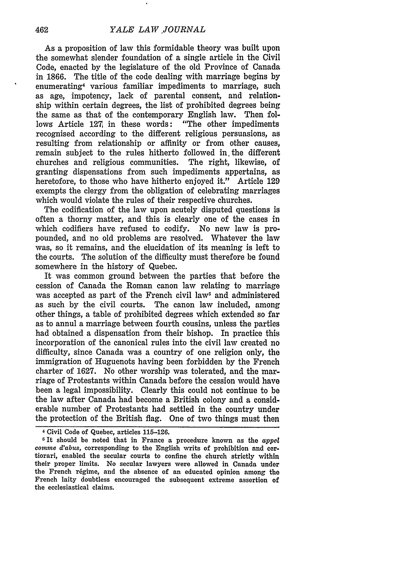As a proposition of law this formidable theory was built upon the somewhat slender foundation of a single article in the Civil Code, enacted by the legislature of the old Province of Canada in 1866. The title of the code dealing with marriage begins by enumerating4 various familiar impediments to marriage, such as age, impotency, lack of parental consent, and relationship within certain degrees, the list of prohibited degrees being the same as that of the contemporary English law. Then fol-<br>lows Article 127 in these words: "The other impediments lows Article  $127$  in these words: recognised according to the different religious persuasions, as resulting from relationship or affinity or from other causes, remain subject to the rules hitherto followed in. the different churches and religious communities. The right, likewise, of granting dispensations from such impediments appertains, as heretofore, to those who have hitherto enjoyed it." Article 129 exempts the clergy from the obligation of celebrating marriages which would violate the rules of their respective churches.

The codification of the law upon acutely disputed questions **is** often a thorny matter, and this is clearly one of the cases in which codifiers have refused to codify. No new law is propounded, and no old problems are resolved. Whatever the law was, so it remains, and the elucidation of its meaning is left to the courts. The solution of the difficulty must therefore be found somewhere in the history of Quebec.

It was common ground between the parties that before the cession of Canada the Roman canon law relating to marriage was accepted as part of the French civil law' and administered as such by the civil courts. The canon law included, among other things, a table of prohibited degrees which extended so far as to annul a marriage between fourth cousins, unless the parties had obtained a dispensation from their bishop. In practice this incorporation of the canonical rules into the civil law created no difficulty, since Canada was a country of one religion only, the immigration of Huguenots having been forbidden by the French charter of **1627.** No other worship was tolerated, and the marriage of Protestants within Canada before the cession would have been a legal impossibility. Clearly this could not continue to **be** the law after Canada had become a British colony and a considerable number of Protestants had settled in the country under the protection of the British flag. One of two things must then

462

<sup>4</sup>**Civil** Code of Quebec, articles **115-126.**

<sup>5</sup> It should be noted that **in** France a procedure known as **the** *appol comme d'abus,* corresponding **to** the English writs of prohibition **and** certiorari, enabled **the** secular courts to confine **the** church strictly within their proper limits. No secular lawyers were **allowed** in Canada **under** the French regime, and **the** absence of an educated opinion among **the** French laity doubtless encouraged **the** subsequent **extreme** assertion of **the** ecclesiastical claims.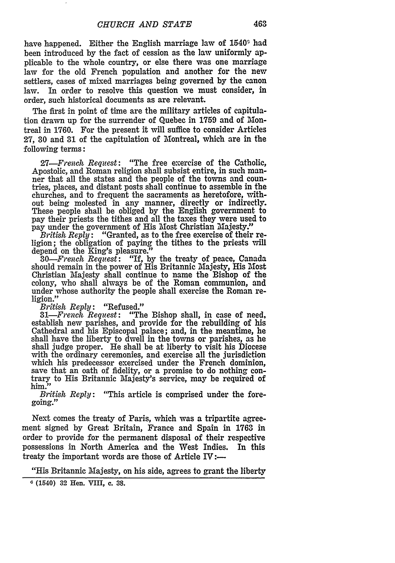have happened. Either the English marriage law of 1540<sup>3</sup> had been introduced **by** the fact of cession as the law uniformly applicable to the whole country, or else there was one marriage law for the old French population and another for the new settlers, cases of mixed marriages being governed **by** the canon law. In order to resolve this question we must consider, in order, such historical documents as are relevant.

The first in point of time are the military articles of capitulation drawn up for the surrender of Quebec in 1759 and of Montreal in **1760.** For the present it will suffice to consider Articles 27, **30** and **31** of the capitulation of Montreal, which are in the following terms:

*27-French Request:* "The free exercise of the Catholic, Apostolic, and Roman religion shall subsist entire, in such manner that all the states and the people of the towns and countries, places, and distant posts shall continue to assemble in the churches, and to frequent the sacraments as heretofore, without being molested in any manner, directly or indirectly. These people shall be obliged by the English government to pay their priests the tithes and all the taxes they were used to pay under the government of His Most Christian Majesty."

*British Reply:* "Granted, as to the free exercise of their religion; the obligation of paying the tithes to the priests will depend on the King's pleasure."

depend on the King's pleasure."<br>
30—French Request: "If, by the treaty of peace, Canada should remain in the power of His Britannic Majesty, His Most Christian Majesty shall continue to name the Bishop of the colony, who shall always be of the Roman communion, and under whose authority the people shall exercise the Roman religion."

*British Reply:* "Refused."

*31-French Request:* "The Bishop shall, in case of need, establish new parishes, and provide for the rebuilding of his Cathedral and his Episcopal palace; and, in the meantime, he shall have the liberty to dwell in the towns or parishes, as he shall judge proper. He shall be at liberty to visit his Diocese with the ordinary ceremonies, and exercise all the jurisdiction which his predecessor exercised under the French dominion, save that an oath of fidelity, or a promise to do nothing contrary to His Britannic Majesty's service, may be required of him."

*British Reply:* "This article is comprised under the foregoing."

Next comes the treaty of Paris, which was a tripartite agreement signed by Great Britain, France and Spain in 1763 in order to provide for the permanent disposal of their respective possessions in North America and the West Indies. In this treaty the important words are those of Article IV:-

"His Britannic Majesty, on his side, agrees to grant the liberty

**6** (1540) **32** Hen. VIII, c. **38.**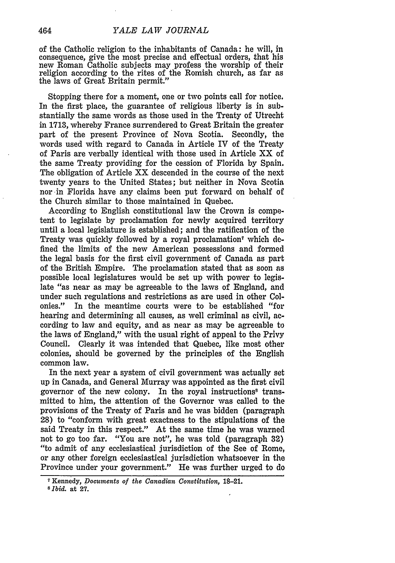of the Catholic religion to the inhabitants of Canada: he will, in consequence, give the most precise and effectual orders, that his new Roman Catholic subjects may profess the worship of their religion according to the rites of the Romish church, as far as the laws of Great Britain permit."

Stopping there for a moment, one or two points call for notice. In the first place, the guarantee of religious liberty is in substantially the same words as those used in the Treaty of Utrecht in 1713, whereby France surrendered to Great Britain the greater part of the present Province of Nova Scotia. Secondly, the words used with regard to Canada in Article IV of the Treaty of Paris are verbally identical with those used in Article XX of the same Treaty providing for the cession of Florida by Spain. The obligation of Article XX descended in the course of the next twenty years to the United States; but neither in Nova Scotia nor in Florida have any claims been put forward on behalf of the Church similar to those maintained in Quebec.

According to English constitutional law the Crown is competent to legislate by proclamation for newly acquired territory until a local legislature is established; and the ratification of the Treaty was quickly followed by a royal proclamation' which defined the limits of the new American possessions and formed the legal basis for the first civil government of Canada as part of the British Empire. The proclamation stated that as soon as possible local legislatures would be set up with power to legislate "as near as may be agreeable to the laws of England, and under such regulations and restrictions as are used in other Colonies." In the meantime courts were to be established "for hearing and determining all causes, as well criminal as civil, according to law and equity, and as near as may be agreeable to the laws of England," with the usual right of appeal to the Privy Council. Clearly it was intended that Quebec, like most other colonies, should be governed by the principles of the English common law.

In the next year a system of civil government was actually set up in Canada, and General Murray was appointed as the first civil governor of the new colony. In the royal instructions' transmitted to him, the attention of the Governor was called to the provisions of the Treaty of Paris and he was bidden (paragraph 28) to "conform with great exactness to the stipulations of the said Treaty in this respect." At the same time he was warned not to go too far. "You are not", he was told (paragraph 32) "to admit of any ecclesiastical jurisdiction of the See of Rome, or any other foreign ecclesiastical jurisdiction whatsoever in the Province under your government." **He** was further urged to do

**<sup>7</sup>**Kennedy, *Documents of the Canadian Constitution,* **18-21.**

**<sup>8</sup>** *Ibid.* at **27.**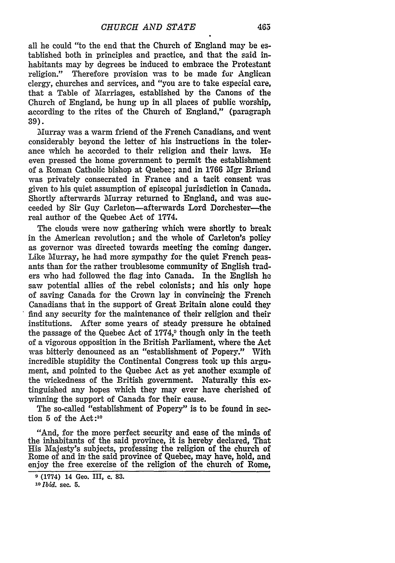all he could "to the end that the Church of England may be established both in principles and practice, and that the said inhabitants may by degrees be induced to embrace the Protestant religion." Therefore provision was to be made for Anglican clergy, churches and services, and "you are to take especial care, that a Table of Marriages, established by the Canons of the Church of England, be hung up in all places of public worship, according to the rites of the Church of England," (paragraph 39).

Murray was a warm friend of the French Canadians, and went considerably beyond the letter of his instructions in the tolerance which he accorded to their religion and their laws. He even pressed the home government to permit the establishment of a Roman Catholic bishop at Quebec; and in 1766 Mgr Briand was privately consecrated in France and a tacit consent was given to his quiet assumption of episcopal jurisdiction in Canada. Shortly afterwards Murray returned to England, and was succeeded by Sir Guy Carleton-afterwards Lord Dorchester-the real author of the Quebec Act of 1774.

The clouds were now gathering which were shortly to break in the American revolution; and the whole of Carleton's policy as governor was directed towards meeting the coming danger. Like Murray, he had more sympathy for the quiet French peasants than for the rather troublesome community of English traders who had followed the flag into Canada. In the English he saw potential allies of the rebel colonists; and his only hope of saving Canada for the Crown lay in convincing the French Canadians that in the support of Great Britain alone could they find any security for the maintenance of their religion and their institutions. After some years of steady pressure he obtained the passage of the Quebec Act of 1774,<sup>9</sup> though only in the teeth of a vigorous opposition in the British Parliament, where the Act was bitterly denounced as an "establishment of Popery." With incredible stupidity the Continental Congress took up this argument, and pointed to the Quebec Act as yet another example of the wickedness of the British government. Naturally this extinguished any hopes which they may ever have cherished of winning the support of Canada for their cause.

The so-called "establishment of Popery" is to be found in section **5** of the Act **:10**

"And, for the more perfect security and ease of the minds of the inhabitants of the said province, it is hereby declared, That His Majesty's subjects, professing the religion of the church of Rome of and in the said province of Quebec, may have, hold, and enjoy the free exercise of the religion of the church of Rome,

**<sup>9</sup> (1774) 14** Geo. III, **c. 83.**

**<sup>10</sup>** *Ibid.* **sec. 5.**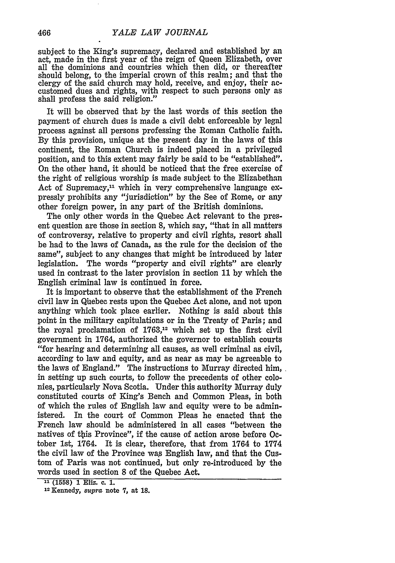subject to the King's supremacy, declared and established by an act, made in the first year of the reign of Queen Elizabeth, over all the dominions and countries which then did, or thereafter should belong, to the imperial crown of this realm; and that the clergy of the said church may hold, receive, and enjoy, their accustomed dues and rights, with respect to such persons only as shall profess the said religion."

It will be observed that by the last words of this section the payment of church dues is made a civil debt enforceable by legal process against all persons professing the Roman Catholic faith. By this provision, unique at the present day in the laws of this continent, the Roman Church is indeed placed in a privileged position, and to this extent may fairly be said to be "established". On the other hand, it should be noticed that the free exercise of the right of religious worship is made subject to the Elizabethan Act of Supremacy,<sup>11</sup> which in very comprehensive language expressly prohibits any "jurisdiction" by the See of Rome, or any other foreign power, in any part of the British dominions.

The only other words in the Quebec Act relevant to the present question are those in section 8, which say, "that in all matters of controversy, relative to property and civil rights, resort shall be had to the laws of Canada, as the rule for the decision of the same", subject to any changes that might be introduced by later legislation. The words "property and civil rights" are clearly used in contrast to the later provision in section 11 by which the English criminal law is continued in force.

It is important to observe that the establishment of the French civil law in Quebec rests upon the Quebec Act alone, and not upon anything which took place earlier. Nothing is said about this point in the military capitulations or in the Treaty of Paris; and the royal proclamation of 1763,<sup>12</sup> which set up the first civil government in 1764, authorized the governor to establish courts "for hearing and determining all causes, as well criminal as civil, according to law and equity, and as near as may be agreeable to the laws of England." The instructions to Murray directed him, in setting up such courts, to follow the precedents of other colonies, particularly Nova Scotia. Under this authority Murray duly constituted courts of King's Bench and Common Pleas, in both of which the rules of English law and equity were to be administered. In the court of Common Pleas he enacted that the French law should be administered in all cases "between the natives of this Province", if the cause of action arose before October 1st, 1764. It is clear, therefore, that from 1764 to **1774** the civil law of the Province was English law, and that the Custom of Paris was not continued, but only re-introduced by the words used in section 8 of the Quebec Act.

12 **Kennedy,** *supra* **note 7, at 18.**

**<sup>11 (1558) 1</sup> Eliz.** c. **1.**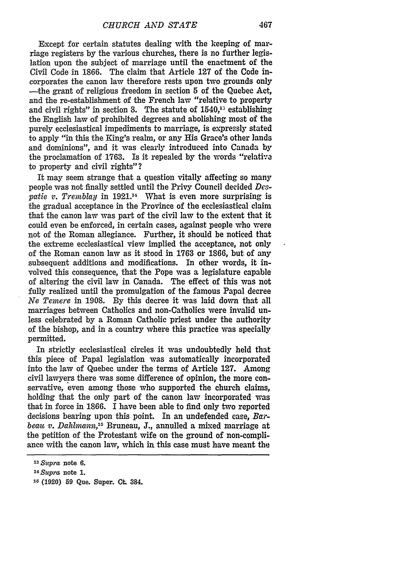Except for certain statutes dealing with the keeping of marriage registers by the various churches, there is no further legislation upon the subject of marriage until the enactment of the Civil Code in 1866. The claim that Article 127 of the Code incorporates the canon law therefore rests upon two grounds only -the grant of religious freedom in section **5** of the Quebec Act, and the re-establishment of the French law "relative to property and civil rights" in section **3.** The statute of **1540,13** establishing the English law of prohibited degrees and abolishing most of the purely ecclesiastical impediments to marriage, is expressly stated to apply "in this the King's realm, or any His Grace's other lands and dominions", and it was clearly introduced into Canada by the proclamation of 1763. Is it repealed by the words "relativa to property and civil rights"?

It may seem strange that a question vitally affecting so many people was not finally settled until the Privy Council decided *Despatie v. Tremblay* in 1921.<sup>14</sup> What is even more surprising is the gradual acceptance in the Province of the ecclesiastical claim that the canon law was part of the civil law to the extent that it could even be enforced, in certain cases, against people who were not of the Roman allegiance. Further, it should be noticed that the extreme ecclesiastical view implied the acceptance, not only of the Roman canon law as it stood in 1763 or 1866, but of any subsequent additions and modifications. In other words, it involved this consequence, that the Pope was a legislature capable of altering the civil law in Canada. The effect of this was not fully realized until the promulgation of the famous Papal decree *Ne Temere* in 1908. **By** this decree it was laid down that all marriages between Catholics and non-Catholics were invalid unless celebrated by a Roman Catholic priest under the authority of the bishop, and in a country where this practice was specially permitted.

In strictly ecclesiastical circles it was undoubtedly held that this piece of Papal legislation was automatically incorporated into the law of Quebec under the terms of Article 127. Among civil lawyers there was some difference of opinion, the more conservative, even among those who supported the church claims, holding that the only part of the canon law incorporated was that in force in 1866. I have been able to find only two reported decisions bearing upon this point. In an undefended case, *Barbeau v. Dahlmann*.<sup>15</sup> Bruneau, J., annulled a mixed marriage at the petition of the Protestant wife on the ground of non-compliance with the canon law, which in this case must have meant the

**<sup>1</sup> 3** *Supra* **note 6.**

*<sup>24</sup>Supra* **note 1.**

<sup>15</sup> **(1920) 59 Que. Super. Ct. 384.**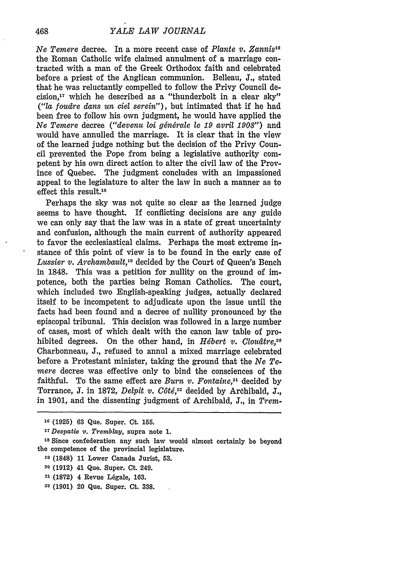*Ne Temere* decree. In a more recent case of *Plante v. Zannis*<sup>16</sup> the Roman Catholic wife claimed annulment of a marriage contracted with a man of the Greek Orthodox faith and celebrated before a priest of the Anglican communion. Belleau, **J.,** stated that he was reluctantly compelled to follow the Privy Council decision, 17 which he described as a "thunderbolt in a clear sky" *("la foudre dans un ciel serein"),* but intimated that if he had been free to follow his own judgment, he would have applied the *Ne Temere* decree *("devenu loi générale le 19 avril 1908")* and would have annulled the marriage. It is clear that in the view of the learned judge nothing but the decision of the Privy Council prevented the Pope from being a legislative authority competent by his own direct action to alter the civil law of the Province of Quebec. The judgment concludes with an impassioned appeal to the legislature to alter the law in such a manner as to effect this result. $18$ 

Perhaps the sky was not quite so clear as the learned judge seems to have thought. If conflicting decisions are any guide we can only say that the law was in a state of great uncertainty and confusion, although the main current of authority appeared to favor the ecclesiastical claims. Perhaps the most extreme instance of this point of view is to be found in the early case of Lussier v. Archambault,<sup>19</sup> decided by the Court of Queen's Bench in 1848. This was a petition for nullity on the ground of impotence, both the parties being Roman Catholics. The court, which included two English-speaking judges, actually declared itself to be incompetent to adjudicate upon the issue until the facts had been found and a decree of nullity pronounced by the episcopal tribunal. This decision was followed in a large number of cases, most of which dealt with the canon law table of prohibited degrees. On the other hand, in *Hébert v. Cloudtre*.<sup>20</sup> Charbonneau, **J.,** refused to annul a mixed marriage celebrated before a Protestant minister, taking the ground that the *Ne Tewmere* decree was effective only to bind the consciences of the faithful. To the same effect are *Burn v. Fontaine*,<sup>21</sup> decided by Torrance, J. in 1872, *Delpit v. Côté*,<sup>22</sup> decided by Archibald, J., in 1901, and the dissenting judgment of Archibald, J., in *Trem*.

- **'9 (1848) 11** Lower Canada Jurist, **53.**
- **<sup>20</sup>(1912)** 41 **Que. Super, Ct.** 249.
- **<sup>21</sup>(1872)** 4 **Revue** L~gale, **163.**
- **22 (1901)** 20 **Que. Super. Ct. 338.**

**<sup>16</sup>**(1925) **63** Que. Super. **Ct. 155.**

**<sup>17</sup>***Despatie v. Tremblay,* supra note **1.**

**<sup>1</sup>s** Since confederation any such law would almost certainly **be** beyond the competence of the provincial legislature.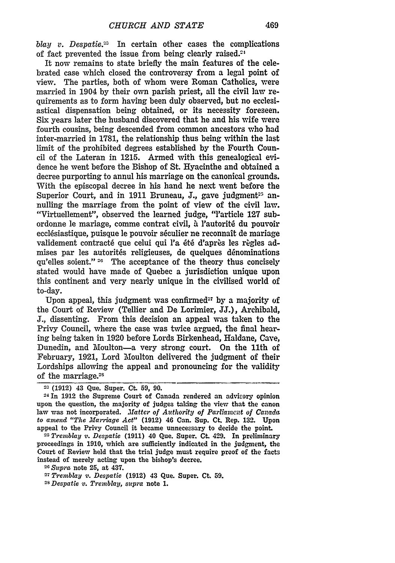*blay v. Despatie.2* In certain other cases the complications of fact prevented the issue from being clearly raised.2'

It now remains to state briefly the main features of the celebrated case which closed the controversy from a legal point of view. The parties, both of whom were Roman Catholics, were married in 1904 by their own parish priest, all the civil law requirements as to form having been duly observed, but no ecclesiastical dispensation being obtained, or its necessity foreseen. Six years later the husband discovered that he and his wife were fourth cousins, being descended from common ancestors who had inter-married in 1781, the relationship thus being within the last limit of the prohibited degrees established by the Fourth Council of the Lateran in **1215.** Armed with this genealogical evidence he went before the Bishop of St. Hyacinthe and obtained a decree purporting to annul his marriage on the canonical grounds. With the episcopal decree in his hand he next went before the Superior Court, and in 1911 Bruneau, J., gave judgment<sup>25</sup> annulling the marriage from the point of view of the civil law. "Virtuellement", observed the learned judge, "l'article 127 subordonne le mariage, comme contrat civil, à l'autorité du pouvoir ecclésiastique, puisque le pouvoir séculier ne reconnaît de mariage validement contracté que celui qui l'a été d'après les règles admises par les autorités religieuses, de quelques dénominations qu'elles soient." **26** The acceptance of the theory thus concisely stated would have made of Quebec a jurisdiction unique upon this continent and very nearly unique in the civilised world of to-day.

Upon appeal, this judgment was confirmed $2^r$  by a majority of the Court of Review (Tellier and De Lorimier, **JJ.),** Archibald, **J.,** dissenting. From this decision an appeal was taken to the Privy Council, where the case was twice argued, the final hearing being taken in 1920 before Lords Birkenhead, Haldane, Cave, Dunedin, and Moulton-a very strong court. On the 11th of February, 1921, Lord Moulton delivered the judgment of their Lordships allowing the appeal and pronouncing for the validity of the marriage.28

**<sup>2-3</sup>** (1912) 43 Que. Super. **Ct. 59,** 90.

<sup>24</sup> In 1912 the Supreme Court of Canada rendered an advisory opinion upon the question, the majority of judges taking the view that the canon law was not incorporated. *Matter of Authority of Parliament of Canada to amend "The Marriage Act?'* (1912) 46 Can. Sup. Ct. Rep. 132. Upon appeal to the Privy Council it became unnecessary to decide the point.

**<sup>2:</sup>i** *Tremblay v. Despatie* **(1911)** 40 Que. Super. **Ct.** 429. In preliminary proceedings in **1910,** which are sufficiently indicated in the judgment, the Court of Review held that the trial judge must require proof of the facts instead of merely acting upon the bishop's decree. **<sup>26</sup>***Supra* note **25,** at 437.

*<sup>27</sup>Tremblay v. Despatie* **(1912)** 43 Que. Super. **Ct 59.**

*<sup>28</sup> Despatie v. Tremblay, supra* note **1.**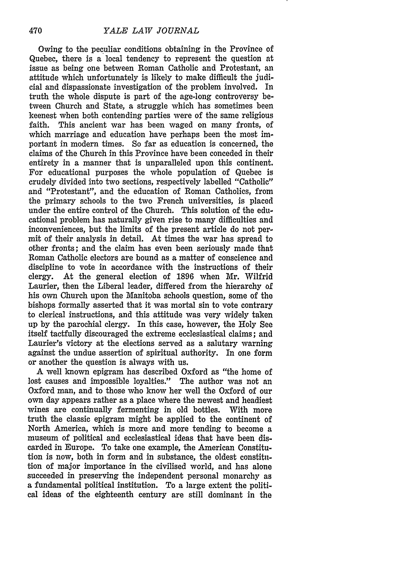Owing to the peculiar conditions obtaining in the Province of Quebec, there is a local tendency to represent the question at issue as being one between Roman Catholic and Protestant, an attitude which unfortunately is likely to make difficult the judicial and dispassionate investigation of the problem involved. In truth the whole dispute is part of the age-long controversy between Church and State, a struggle which has sometimes been keenest when both contending parties were of the same religious faith. This ancient war has been waged on many fronts, of which marriage and education have perhaps been the most important in modern times. So far as education is concerned, the claims of the Church in this Province have been conceded in their entirety in a manner that is unparalleled upon this continent. For educational purposes the whole population of Quebec is crudely divided into two sections, respectively labelled "Catholic" and "Protestant", and the education of Roman Catholics, from the primary schools to the two French universities, is placed under the entire control of the Church. This solution of the educational problem has naturally given rise to many difficulties and inconveniences, but the limits of the present article do not permit of their analysis in detail. At times the war has spread to other fronts; and the claim has even been seriously made that Roman Catholic electors are bound as a matter of conscience and discipline to vote in accordance with the instructions of their clergy. At the general election of **1896** when Mr. Wilfrid Laurier, then the Liberal leader, differed from the hierarchy of his own Church upon the Manitoba schools question, some of the bishops formally asserted that it was mortal sin to vote contrary to clerical instructions, and this attitude was very widely taken up **by** the parochial clergy. In this case, however, the Holy See itself tactfully discouraged the extreme ecclesiastical claims; and Laurier's victory at the elections served as a salutary warning against the undue assertion of spiritual authority. In one form or another the question is always with us.

A well known epigram has described Oxford as "the home of lost causes and impossible loyalties." The author was not an Oxford man, and to those who know her well the Oxford of our own day appears rather as a place where the newest and headiest wines are continually fermenting in old bottles. With more truth the classic epigram might be applied to the continent of North America, which is more and more tending to become a museum of political and ecclesiastical ideas that have been discarded in Europe. To take one example, the American Constitution is now, both in form and in substance, the oldest constitution of major importance in the civilised world, and has alone succeeded in preserving the independent personal monarchy as a fundamental political institution. To a large extent the political ideas of the eighteenth century are still dominant in the